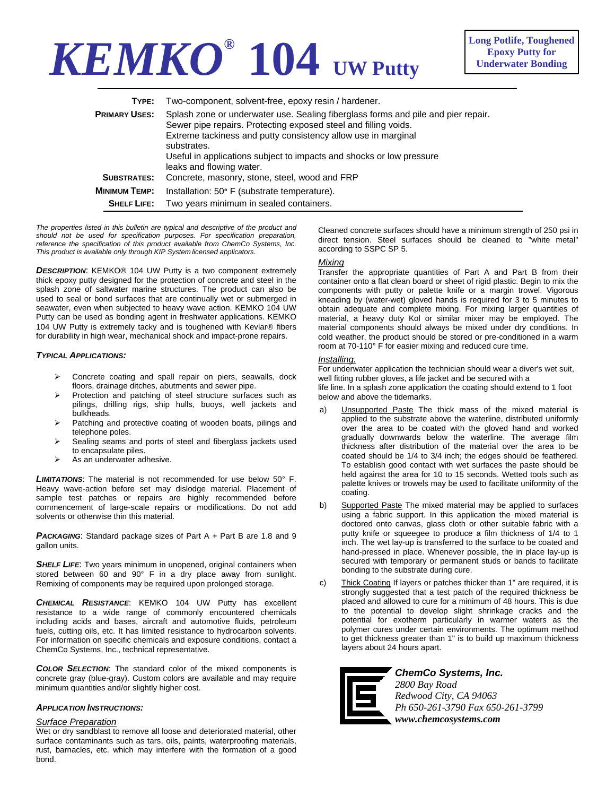# **KEMKO® 104 UW Putty**

| TYPE:                | Two-component, solvent-free, epoxy resin / hardener.                                                                                                                                                                                                                                                                                     |
|----------------------|------------------------------------------------------------------------------------------------------------------------------------------------------------------------------------------------------------------------------------------------------------------------------------------------------------------------------------------|
| <b>PRIMARY USES:</b> | Splash zone or underwater use. Sealing fiberglass forms and pile and pier repair.<br>Sewer pipe repairs. Protecting exposed steel and filling voids.<br>Extreme tackiness and putty consistency allow use in marginal<br>substrates.<br>Useful in applications subject to impacts and shocks or low pressure<br>leaks and flowing water. |
| <b>SUBSTRATES:</b>   | Concrete, masonry, stone, steel, wood and FRP                                                                                                                                                                                                                                                                                            |
| <b>MINIMUM TEMP:</b> | Installation: 50° F (substrate temperature).                                                                                                                                                                                                                                                                                             |
| <b>SHELF LIFE:</b>   | Two years minimum in sealed containers.                                                                                                                                                                                                                                                                                                  |

*The properties listed in this bulletin are typical and descriptive of the product and should not be used for specification purposes. For specification preparation,*  reference the specification of this product available from ChemCo Systems, Inc. *This product is available only through KIP System licensed applicators.* 

*DESCRIPTION*: KEMKO® 104 UW Putty is a two component extremely thick epoxy putty designed for the protection of concrete and steel in the splash zone of saltwater marine structures. The product can also be used to seal or bond surfaces that are continually wet or submerged in seawater, even when subjected to heavy wave action. KEMKO 104 UW Putty can be used as bonding agent in freshwater applications. KEMKO 104 UW Putty is extremely tacky and is toughened with Kevlar® fibers for durability in high wear, mechanical shock and impact-prone repairs.

# *TYPICAL APPLICATIONS:*

- Concrete coating and spall repair on piers, seawalls, dock floors, drainage ditches, abutments and sewer pipe.
- Protection and patching of steel structure surfaces such as pilings, drilling rigs, ship hulls, buoys, well jackets and bulkheads.
- $\triangleright$  Patching and protective coating of wooden boats, pilings and telephone poles.
- Sealing seams and ports of steel and fiberglass jackets used to encapsulate piles.
- As an underwater adhesive.

*LIMITATIONS*: The material is not recommended for use below 50° F. Heavy wave-action before set may dislodge material. Placement of sample test patches or repairs are highly recommended before commencement of large-scale repairs or modifications. Do not add solvents or otherwise thin this material.

**PACKAGING:** Standard package sizes of Part A + Part B are 1.8 and 9 gallon units.

**SHELF LIFE:** Two years minimum in unopened, original containers when stored between 60 and 90° F in a dry place away from sunlight. Remixing of components may be required upon prolonged storage.

*CHEMICAL RESISTANCE*: KEMKO 104 UW Putty has excellent resistance to a wide range of commonly encountered chemicals including acids and bases, aircraft and automotive fluids, petroleum fuels, cutting oils, etc. It has limited resistance to hydrocarbon solvents. For information on specific chemicals and exposure conditions, contact a ChemCo Systems, Inc., technical representative.

*COLOR SELECTION*: The standard color of the mixed components is concrete gray (blue-gray). Custom colors are available and may require minimum quantities and/or slightly higher cost.

### *APPLICATION INSTRUCTIONS:*

## *Surface Preparation*

Wet or dry sandblast to remove all loose and deteriorated material, other surface contaminants such as tars, oils, paints, waterproofing materials, rust, barnacles, etc. which may interfere with the formation of a good bond.

Cleaned concrete surfaces should have a minimum strength of 250 psi in direct tension. Steel surfaces should be cleaned to "white metal" according to SSPC SP 5.

# *Mixing*

Transfer the appropriate quantities of Part A and Part B from their container onto a flat clean board or sheet of rigid plastic. Begin to mix the components with putty or palette knife or a margin trowel. Vigorous kneading by (water-wet) gloved hands is required for 3 to 5 minutes to obtain adequate and complete mixing. For mixing larger quantities of material, a heavy duty Kol or similar mixer may be employed. The material components should always be mixed under dry conditions. In cold weather, the product should be stored or pre-conditioned in a warm room at 70-110° F for easier mixing and reduced cure time.

### *Installing.*

For underwater application the technician should wear a diver's wet suit, well fitting rubber gloves, a life jacket and be secured with a life line. In a splash zone application the coating should extend to 1 foot below and above the tidemarks.

- a) Unsupported Paste The thick mass of the mixed material is applied to the substrate above the waterline, distributed uniformly over the area to be coated with the gloved hand and worked gradually downwards below the waterline. The average film thickness after distribution of the material over the area to be coated should be 1/4 to 3/4 inch; the edges should be feathered. To establish good contact with wet surfaces the paste should be held against the area for 10 to 15 seconds. Wetted tools such as palette knives or trowels may be used to facilitate uniformity of the coating.
- b) Supported Paste The mixed material may be applied to surfaces using a fabric support. In this application the mixed material is doctored onto canvas, glass cloth or other suitable fabric with a putty knife or squeegee to produce a film thickness of 1/4 to 1 inch. The wet lay-up is transferred to the surface to be coated and hand-pressed in place. Whenever possible, the in place lay-up is secured with temporary or permanent studs or bands to facilitate bonding to the substrate during cure.
- c) Thick Coating If layers or patches thicker than 1" are required, it is strongly suggested that a test patch of the required thickness be placed and allowed to cure for a minimum of 48 hours. This is due to the potential to develop slight shrinkage cracks and the potential for exotherm particularly in warmer waters as the polymer cures under certain environments. The optimum method to get thickness greater than 1" is to build up maximum thickness layers about 24 hours apart.



*ChemCo Systems, Inc.* 

*2800 Bay Road Redwood City, CA 94063 Ph 650-261-3790 Fax 650-261-3799 www.chemcosystems.com*